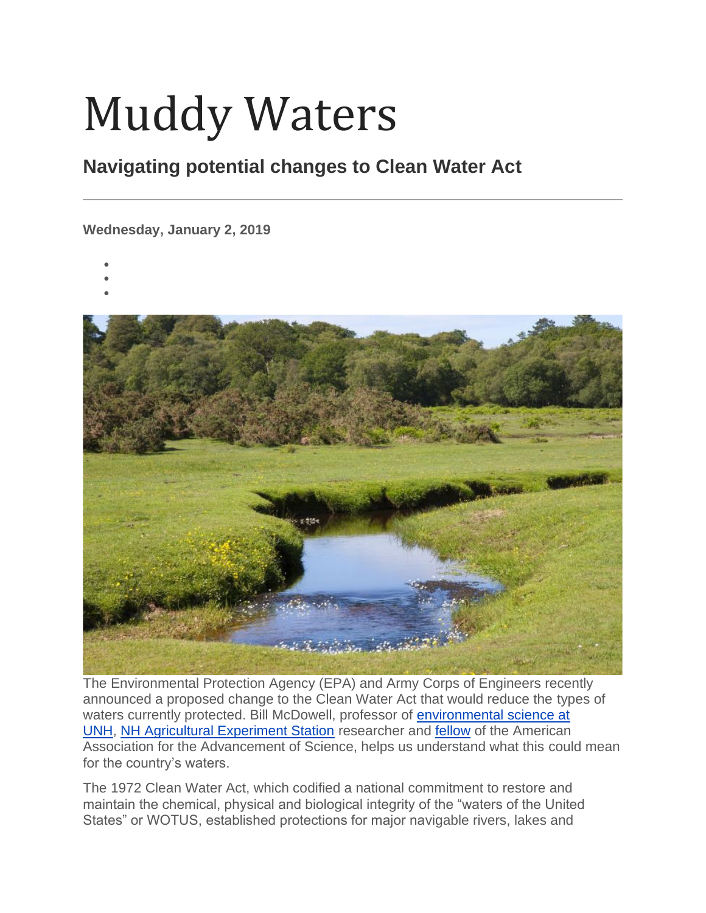## Muddy Waters

## **Navigating potential changes to Clean Water Act**

**Wednesday, January 2, 2019**

- •
- •
- •



The Environmental Protection Agency (EPA) and Army Corps of Engineers recently announced a proposed change to the Clean Water Act that would reduce the types of waters currently protected. Bill McDowell, professor of [environmental science at](https://colsa.unh.edu/natural-resources-environment/program/bs/environmental-sciences-major-ecosystems-option)  [UNH,](https://colsa.unh.edu/natural-resources-environment/program/bs/environmental-sciences-major-ecosystems-option) [NH Agricultural Experiment Station](https://colsa.unh.edu/nhaes/) researcher and [fellow](https://www.unh.edu/unhtoday/2018/11/aaas-honor) of the American Association for the Advancement of Science, helps us understand what this could mean for the country's waters.

The 1972 Clean Water Act, which codified a national commitment to restore and maintain the chemical, physical and biological integrity of the "waters of the United States" or WOTUS, established protections for major navigable rivers, lakes and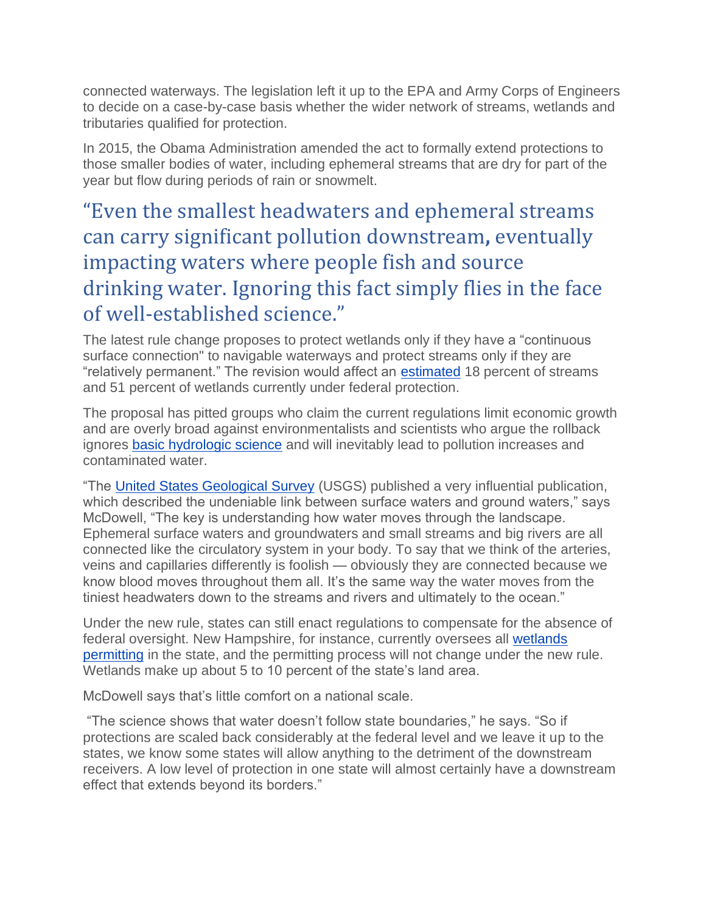connected waterways. The legislation left it up to the EPA and Army Corps of Engineers to decide on a case-by-case basis whether the wider network of streams, wetlands and tributaries qualified for protection.

In 2015, the Obama Administration amended the act to formally extend protections to those smaller bodies of water, including ephemeral streams that are dry for part of the year but flow during periods of rain or snowmelt.

"Even the smallest headwaters and ephemeral streams can carry significant pollution downstream**,** eventually impacting waters where people fish and source drinking water. Ignoring this fact simply flies in the face of well-established science."

The latest rule change proposes to protect wetlands only if they have a "continuous surface connection" to navigable waterways and protect streams only if they are "relatively permanent." The revision would affect an [estimated](https://www.eenews.net/stories/1060109323) 18 percent of streams and 51 percent of wetlands currently under federal protection.

The proposal has pitted groups who claim the current regulations limit economic growth and are overly broad against environmentalists and scientists who argue the rollback ignores [basic hydrologic science](https://pubs.usgs.gov/circ/circ1139/) and will inevitably lead to pollution increases and contaminated water.

"The [United States Geological Survey](https://pubs.usgs.gov/circ/circ1139/) (USGS) published a very influential publication, which described the undeniable link between surface waters and ground waters," says McDowell, "The key is understanding how water moves through the landscape. Ephemeral surface waters and groundwaters and small streams and big rivers are all connected like the circulatory system in your body. To say that we think of the arteries, veins and capillaries differently is foolish — obviously they are connected because we know blood moves throughout them all. It's the same way the water moves from the tiniest headwaters down to the streams and rivers and ultimately to the ocean."

Under the new rule, states can still enact regulations to compensate for the absence of federal oversight. New Hampshire, for instance, currently oversees all [wetlands](https://www.nhpr.org/post/officials-planned-federal-rollback-would-not-affect-most-new-england-wetlands)  [permitting](https://www.nhpr.org/post/officials-planned-federal-rollback-would-not-affect-most-new-england-wetlands) in the state, and the permitting process will not change under the new rule. Wetlands make up about 5 to 10 percent of the state's land area.

McDowell says that's little comfort on a national scale.

"The science shows that water doesn't follow state boundaries," he says. "So if protections are scaled back considerably at the federal level and we leave it up to the states, we know some states will allow anything to the detriment of the downstream receivers. A low level of protection in one state will almost certainly have a downstream effect that extends beyond its borders."